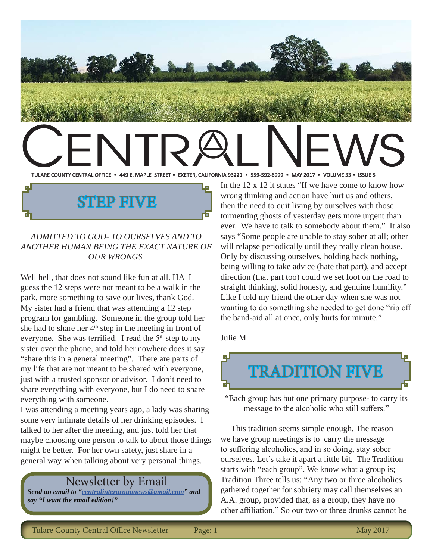

#### *ADMITTED TO GOD- TO OURSELVES AND TO ANOTHER HUMAN BEING THE EXACT NATURE OF OUR WRONGS.*

STEP FIVE

Well hell, that does not sound like fun at all. HA I guess the 12 steps were not meant to be a walk in the park, more something to save our lives, thank God. My sister had a friend that was attending a 12 step program for gambling. Someone in the group told her she had to share her  $4<sup>th</sup>$  step in the meeting in front of everyone. She was terrified. I read the  $5<sup>th</sup>$  step to my sister over the phone, and told her nowhere does it say "share this in a general meeting". There are parts of my life that are not meant to be shared with everyone, just with a trusted sponsor or advisor. I don't need to share everything with everyone, but I do need to share everything with someone.

I was attending a meeting years ago, a lady was sharing some very intimate details of her drinking episodes. I talked to her after the meeting, and just told her that maybe choosing one person to talk to about those things might be better. For her own safety, just share in a general way when talking about very personal things.

#### Newsletter by Email

*Send an email to "centralintergroupnews@gmail.com" and say "I want the email edition!"*

wrong thinking and action have hurt us and others, then the need to quit living by ourselves with those tormenting ghosts of yesterday gets more urgent than ever. We have to talk to somebody about them." It also says "Some people are unable to stay sober at all; other will relapse periodically until they really clean house. Only by discussing ourselves, holding back nothing, being willing to take advice (hate that part), and accept direction (that part too) could we set foot on the road to straight thinking, solid honesty, and genuine humility." Like I told my friend the other day when she was not wanting to do something she needed to get done "rip off the band-aid all at once, only hurts for minute."

Julie M



"Each group has but one primary purpose- to carry its message to the alcoholic who still suffers."

 This tradition seems simple enough. The reason we have group meetings is to carry the message to suffering alcoholics, and in so doing, stay sober ourselves. Let's take it apart a little bit. The Tradition starts with "each group". We know what a group is; Tradition Three tells us: "Any two or three alcoholics gathered together for sobriety may call themselves an A.A. group, provided that, as a group, they have no other affiliation." So our two or three drunks cannot be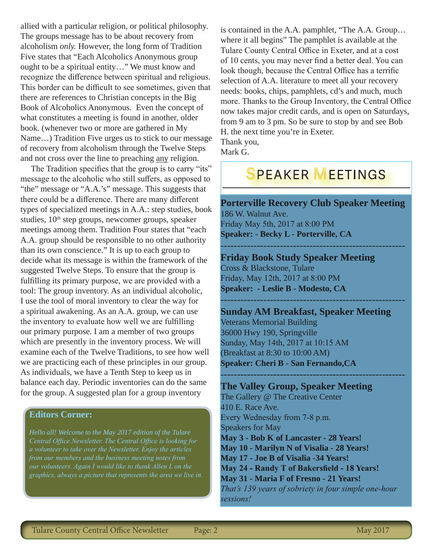allied with a particular religion, or political philosophy. The groups message has to be about recovery from alcoholism *only.* However, the long form of Tradition Five states that "Each Alcoholics Anonymous group ought to be a spiritual entity…" We must know and recognize the difference between spiritual and religious. This border can be difficult to see sometimes, given that there are references to Christian concepts in the Big Book of Alcoholics Anonymous. Even the concept of what constitutes a meeting is found in another, older book. (whenever two or more are gathered in My Name…) Tradition Five urges us to stick to our message of recovery from alcoholism through the Twelve Steps and not cross over the line to preaching any religion.

The Tradition specifies that the group is to carry "its" message to the alcoholic who still suffers, as opposed to "the" message or "A.A.'s" message. This suggests that there could be a difference. There are many different types of specialized meetings in A.A.: step studies, book studies,  $10<sup>th</sup>$  step groups, newcomer groups, speaker meetings among them. Tradition Four states that "each A.A. group should be responsible to no other authority than its own conscience." It is up to each group to decide what its message is within the framework of the suggested Twelve Steps. To ensure that the group is fulfilling its primary purpose, we are provided with a tool: The group inventory. As an individual alcoholic, I use the tool of moral inventory to clear the way for a spiritual awakening. As an A.A. group, we can use the inventory to evaluate how well we are fulfilling our primary purpose. I am a member of two groups which are presently in the inventory process. We will examine each of the Twelve Traditions, to see how well we are practicing each of these principles in our group. As individuals, we have a Tenth Step to keep us in balance each day. Periodic inventories can do the same for the group. A suggested plan for a group inventory

#### **Editors Corner:**

*Hello all! Welcome to the May 2017 edition of the Tulare Central Office Newsletter. The Central Office is looking for* 

is contained in the A.A. pamphlet, "The A.A. Group… where it all begins" The pamphlet is available at the Tulare County Central Office in Exeter, and at a cost of 10 cents, you may never find a better deal. You can look though, because the Central Office has a terrific selection of A.A. literature to meet all your recovery needs: books, chips, pamphlets, cd's and much, much more. Thanks to the Group Inventory, the Central Office now takes major credit cards, and is open on Saturdays, from 9 am to 3 pm. So be sure to stop by and see Bob H. the next time you're in Exeter. Thank you,

Mark G.

# **SPEAKER MEETINGS**

**Porterville Recovery Club Speaker Meeting** 186 W. Walnut Ave.

--------------------------------------------------------

Friday May 5th, 2017 at 8:00 PM **Speaker: - Becky L - Porterville, CA**

#### **Friday Book Study Speaker Meeting** Cross & Blackstone, Tulare Friday, May 12th, 2017 at 8:00 PM

**Speaker: - Leslie B - Modesto, CA** --------------------------------------------------------

#### **Sunday AM Breakfast, Speaker Meeting**

--------------------------------------------------------

Veterans Memorial Building 36000 Hwy 190, Springville Sunday, May 14th, 2017 at 10:15 AM (Breakfast at 8:30 to 10:00 AM) **Speaker: Cheri B - San Fernando,CA**

**The Valley Group, Speaker Meeting** The Gallery @ The Creative Center 410 E. Race Ave. Every Wednesday from 7-8 p.m. Speakers for May **May 3 - Bob K of Lancaster - 28 Years! May 10 - Marilyn N of Visalia - 28 Years! May 17 - Joe B of Visalia -34 Years! May 24 - Randy T of Bakersfield - 18 Years! May 31 - Maria F of Fresno - 21 Years!** *That's 139 years of sobriety in four simple one-hour sessions!*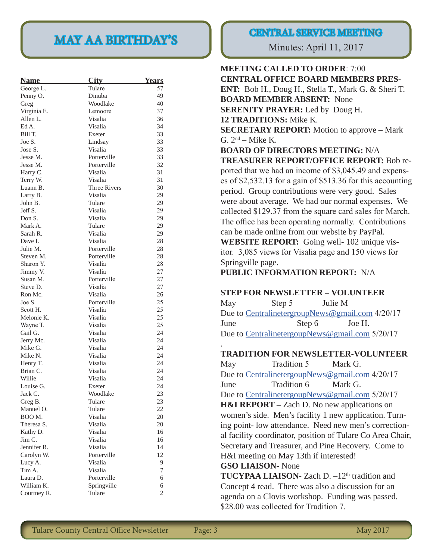# MAY AA BIRTHDAY'S Minutes: April 11, 2017

| <b>Name</b> | <b>City</b>         | <b>Years</b>   |
|-------------|---------------------|----------------|
| George L.   | Tulare              | 57             |
| Penny O.    | Dinuba              | 49             |
| Greg        | Woodlake            | 40             |
| Virginia E. | Lemoore             | 37             |
| Allen L.    | Visalia             | 36             |
| Ed A.       | Visalia             | 34             |
| Bill T.     | Exeter              | 33             |
| Joe S.      | Lindsay             | 33             |
| Jose S.     | Visalia             | 33             |
| Jesse M.    | Porterville         | 33             |
| Jesse M.    | Porterville         | 32             |
| Harry C.    | Visalia             | 31             |
| Terry W.    | Visalia             | 31             |
| Luann B.    | <b>Three Rivers</b> | 30             |
| Larry B.    | Visalia             | 29             |
| John B.     | Tulare              | 29             |
| Jeff S.     | Visalia             | 29             |
| Don S.      | Visalia             | 29             |
| Mark A.     | Tulare              | 29             |
| Sarah R.    | Visalia             | 29             |
| Dave I.     | Visalia             | 28             |
| Julie M.    | Porterville         | 28             |
| Steven M.   | Porterville         | 28             |
| Sharon Y.   | Visalia             | 28             |
| Jimmy V.    | Visalia             | 27             |
| Susan M.    | Porterville         | 27             |
| Steve D.    | Visalia             | 27             |
| Ron Mc.     | Visalia             | 26             |
| Joe S.      | Porterville         | 25             |
| Scott H.    | Visalia             | 25             |
| Melonie K.  | Visalia             | 25             |
| Wayne T.    | Visalia             | 25             |
| Gail G.     | Visalia             | 24             |
| Jerry Mc.   | Visalia             | 24             |
| Mike G.     | Visalia             | 24             |
| Mike N.     | Visalia             | 24             |
| Henry T.    | Visalia             | 24             |
| Brian C.    | Visalia             | 24             |
| Willie      | Visalia             | 24             |
| Louise G.   | Exeter              | 24             |
| Jack C.     | Woodlake            | 23             |
| Greg B.     | Tulare              | 23             |
| Manuel O.   | Tulare              | 22             |
| BOO M.      | Visalia             | 20             |
| Theresa S.  | Visalia             | 20             |
| Kathy D.    | Visalia             | 16             |
| Jim C.      | Visalia             | 16             |
| Jennifer R. | Visalia             | 14             |
| Carolyn W.  | Porterville         | 12             |
| Lucy A.     | Visalia             | 9              |
| Tim A.      | Visalia             | 7              |
| Laura D.    | Porterville         | 6              |
| William K.  | Springville         | 6              |
| Courtney R. | Tulare              | $\overline{2}$ |

#### CENTRAL SERVICE MEETING

#### **MEETING CALLED TO ORDER**: 7:00 **CENTRAL OFFICE BOARD MEMBERS PRES-ENT:** Bob H., Doug H., Stella T., Mark G. & Sheri T.

**BOARD MEMBER ABSENT:** None **SERENITY PRAYER:** Led by Doug H. **12 TRADITIONS:** Mike K. **SECRETARY REPORT:** Motion to approve – Mark G.  $2<sup>nd</sup>$  – Mike K. **BOARD OF DIRECTORS MEETING:** N/A **TREASURER REPORT/OFFICE REPORT:** Bob reported that we had an income of \$3,045.49 and expenses of \$2,532.13 for a gain of \$513.36 for this accounting period. Group contributions were very good. Sales were about average. We had our normal expenses. We collected \$129.37 from the square card sales for March. The office has been operating normally. Contributions can be made online from our website by PayPal. **WEBSITE REPORT:** Going well- 102 unique visitor. 3,085 views for Visalia page and 150 views for Springville page. **PUBLIC INFORMATION REPORT:** N/A **STEP FOR NEWSLETTER – VOLUNTEER** May Step 5 Julie M

Due to CentralinetergroupNews@gmail.com 4/20/17 June Step 6 Joe H. Due to CentralinetergoupNews@gmail.com 5/20/17

#### **TRADITION FOR NEWSLETTER-VOLUNTEER**

May Tradition 5 Mark G. Due to CentralinetergoupNews@gmail.com 4/20/17 June Tradition 6 Mark G. Due to CentralinetergoupNews@gmail.com 5/20/17 **H&I REPORT** – Zach D. No new applications on women's side. Men's facility 1 new application. Turning point- low attendance. Need new men's correctional facility coordinator, position of Tulare Co Area Chair, Secretary and Treasurer, and Pine Recovery. Come to H&I meeting on May 13th if interested! **GSO LIAISON-** None

**TUCYPAA LIAISON-** Zach D. –12<sup>th</sup> tradition and Concept 4 read. There was also a discussion for an agenda on a Clovis workshop. Funding was passed. \$28.00 was collected for Tradition 7.

.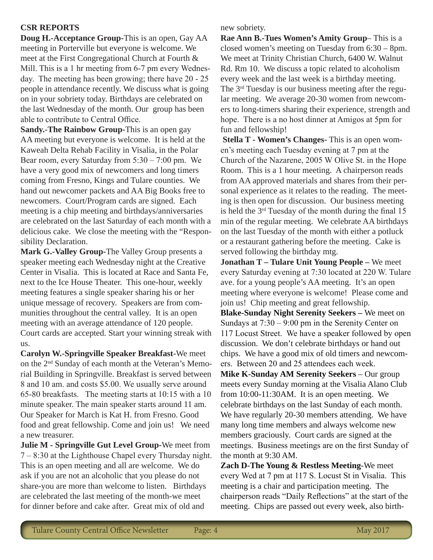#### **CSR REPORTS**

**Doug H.-Acceptance Group-**This is an open, Gay AA meeting in Porterville but everyone is welcome. We meet at the First Congregational Church at Fourth & Mill. This is a 1 hr meeting from 6-7 pm every Wednesday. The meeting has been growing; there have 20 - 25 people in attendance recently. We discuss what is going on in your sobriety today. Birthdays are celebrated on the last Wednesday of the month. Our group has been able to contribute to Central Office.

**Sandy.-The Rainbow Group-**This is an open gay AA meeting but everyone is welcome. It is held at the Kaweah Delta Rehab Facility in Visalia, in the Polar Bear room, every Saturday from 5:30 – 7:00 pm. We have a very good mix of newcomers and long timers coming from Fresno, Kings and Tulare counties. We hand out newcomer packets and AA Big Books free to newcomers. Court/Program cards are signed. Each meeting is a chip meeting and birthdays/anniversaries are celebrated on the last Saturday of each month with a delicious cake. We close the meeting with the "Responsibility Declaration.

**Mark G.-Valley Group-**The Valley Group presents a speaker meeting each Wednesday night at the Creative Center in Visalia. This is located at Race and Santa Fe, next to the Ice House Theater. This one-hour, weekly meeting features a single speaker sharing his or her unique message of recovery. Speakers are from communities throughout the central valley. It is an open meeting with an average attendance of 120 people. Court cards are accepted. Start your winning streak with us.

**Carolyn W.-Springville Speaker Breakfast-**We meet on the 2nd Sunday of each month at the Veteran's Memorial Building in Springville. Breakfast is served between 8 and 10 am. and costs \$5.00. We usually serve around 65-80 breakfasts. The meeting starts at 10:15 with a 10 minute speaker. The main speaker starts around 11 am. Our Speaker for March is Kat H. from Fresno. Good food and great fellowship. Come and join us! We need a new treasurer.

**Julie M - Springville Gut Level Group-**We meet from 7 – 8:30 at the Lighthouse Chapel every Thursday night. This is an open meeting and all are welcome. We do ask if you are not an alcoholic that you please do not share-you are more than welcome to listen. Birthdays are celebrated the last meeting of the month-we meet for dinner before and cake after. Great mix of old and

new sobriety.

**Rae Ann B.-Tues Women's Amity Group**– This is a closed women's meeting on Tuesday from 6:30 – 8pm. We meet at Trinity Christian Church, 6400 W. Walnut Rd. Rm 10. We discuss a topic related to alcoholism every week and the last week is a birthday meeting. The 3rd Tuesday is our business meeting after the regular meeting. We average 20-30 women from newcomers to long-timers sharing their experience, strength and hope. There is a no host dinner at Amigos at 5pm for fun and fellowship!

**Stella T - Women's Changes-** This is an open women's meeting each Tuesday evening at 7 pm at the Church of the Nazarene, 2005 W Olive St. in the Hope Room. This is a 1 hour meeting. A chairperson reads from AA approved materials and shares from their personal experience as it relates to the reading. The meeting is then open for discussion. Our business meeting is held the  $3<sup>rd</sup>$  Tuesday of the month during the final 15 min of the regular meeting. We celebrate AA birthdays on the last Tuesday of the month with either a potluck or a restaurant gathering before the meeting. Cake is served following the birthday mtg.

**Jonathan T – Tulare Unit Young People –** We meet every Saturday evening at 7:30 located at 220 W. Tulare ave. for a young people's AA meeting. It's an open meeting where everyone is welcome! Please come and join us! Chip meeting and great fellowship.

**Blake-Sunday Night Serenity Seekers –** We meet on Sundays at 7:30 – 9:00 pm in the Serenity Center on 117 Locust Street. We have a speaker followed by open discussion. We don't celebrate birthdays or hand out chips. We have a good mix of old timers and newcomers. Between 20 and 25 attendees each week.

**Mike K-Sunday AM Serenity Seekers** – Our group meets every Sunday morning at the Visalia Alano Club from 10:00-11:30AM. It is an open meeting. We celebrate birthdays on the last Sunday of each month. We have regularly 20-30 members attending. We have many long time members and always welcome new members graciously. Court cards are signed at the meetings. Business meetings are on the first Sunday of the month at 9:30 AM.

**Zach D-The Young & Restless Meeting**-We meet every Wed at 7 pm at 117 S. Locust St in Visalia. This meeting is a chair and participation meeting. The chairperson reads "Daily Reflections" at the start of the meeting. Chips are passed out every week, also birth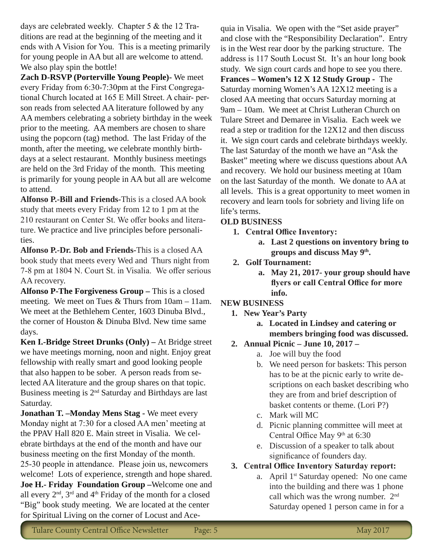days are celebrated weekly. Chapter 5 & the 12 Traditions are read at the beginning of the meeting and it ends with A Vision for You. This is a meeting primarily for young people in AA but all are welcome to attend. We also play spin the bottle!

**Zach D-RSVP (Porterville Young People)-** We meet every Friday from 6:30-7:30pm at the First Congregational Church located at 165 E Mill Street. A chair- person reads from selected AA literature followed by any AA members celebrating a sobriety birthday in the week prior to the meeting. AA members are chosen to share using the popcorn (tag) method. The last Friday of the month, after the meeting, we celebrate monthly birthdays at a select restaurant. Monthly business meetings are held on the 3rd Friday of the month. This meeting is primarily for young people in AA but all are welcome to attend.

**Alfonso P.-Bill and Friends-**This is a closed AA book study that meets every Friday from 12 to 1 pm at the 210 restaurant on Center St. We offer books and literature. We practice and live principles before personalities.

**Alfonso P.-Dr. Bob and Friends-**This is a closed AA book study that meets every Wed and Thurs night from 7-8 pm at 1804 N. Court St. in Visalia. We offer serious AA recovery.

Alfonso P-The Forgiveness Group - This is a closed meeting. We meet on Tues & Thurs from 10am – 11am. We meet at the Bethlehem Center, 1603 Dinuba Blvd., the corner of Houston & Dinuba Blvd. New time same days.

**Ken I.-Bridge Street Drunks (Only) –** At Bridge street we have meetings morning, noon and night. Enjoy great fellowship with really smart and good looking people that also happen to be sober. A person reads from selected AA literature and the group shares on that topic. Business meeting is 2nd Saturday and Birthdays are last Saturday.

**Jonathan T. –Monday Mens Stag -** We meet every Monday night at 7:30 for a closed AA men' meeting at the PPAV Hall 820 E. Main street in Visalia. We celebrate birthdays at the end of the month and have our business meeting on the first Monday of the month. 25-30 people in attendance. Please join us, newcomers welcome! Lots of experience, strength and hope shared. **Joe H.- Friday Foundation Group –**Welcome one and all every 2nd, 3rd and 4th Friday of the month for a closed "Big" book study meeting. We are located at the center for Spiritual Living on the corner of Locust and Ace-

quia in Visalia. We open with the "Set aside prayer" and close with the "Responsibility Declaration". Entry is in the West rear door by the parking structure. The address is 117 South Locust St. It's an hour long book study. We sign court cards and hope to see you there. **Frances – Women's 12 X 12 Study Group -** The Saturday morning Women's AA 12X12 meeting is a closed AA meeting that occurs Saturday morning at 9am – 10am. We meet at Christ Lutheran Church on Tulare Street and Demaree in Visalia. Each week we read a step or tradition for the 12X12 and then discuss it. We sign court cards and celebrate birthdays weekly. The last Saturday of the month we have an "Ask the Basket" meeting where we discuss questions about AA and recovery. We hold our business meeting at 10am on the last Saturday of the month. We donate to AA at all levels. This is a great opportunity to meet women in recovery and learn tools for sobriety and living life on life's terms.

#### **OLD BUSINESS**

- **1. Central Office Inventory:**
	- **a. Last 2 questions on inventory bring to groups and discuss May 9th.**
- **2. Golf Tournament:** 
	- **a. May 21, 2017- your group should have flyers or call Central Office for more info.**

#### **NEW BUSINESS**

- **1. New Year's Party**
	- **a. Located in Lindsey and catering or members bringing food was discussed.**

#### **2. Annual Picnic – June 10, 2017 –**

- a. Joe will buy the food
- b. We need person for baskets: This person has to be at the picnic early to write descriptions on each basket describing who they are from and brief description of basket contents or theme. (Lori P?)
- c. Mark will MC
- d. Picnic planning committee will meet at Central Office May 9<sup>th</sup> at 6:30
- e. Discussion of a speaker to talk about significance of founders day.

#### **3. Central Office Inventory Saturday report:**

a. April 1<sup>st</sup> Saturday opened: No one came into the building and there was 1 phone call which was the wrong number. 2<sup>nd</sup> Saturday opened 1 person came in for a

Tulare County Central Office Newsletter Page: 5 May 2017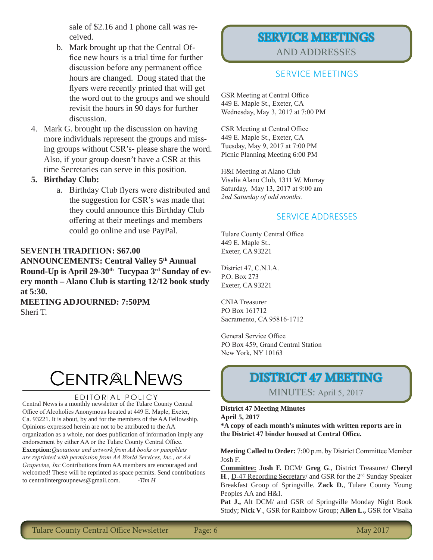sale of \$2.16 and 1 phone call was received.

- b. Mark brought up that the Central Office new hours is a trial time for further discussion before any permanent office hours are changed. Doug stated that the flyers were recently printed that will get the word out to the groups and we should revisit the hours in 90 days for further discussion.
- 4. Mark G. brought up the discussion on having more individuals represent the groups and missing groups without CSR's- please share the word. Also, if your group doesn't have a CSR at this time Secretaries can serve in this position.

#### **5. Birthday Club:**

a. Birthday Club flyers were distributed and the suggestion for CSR's was made that they could announce this Birthday Club offering at their meetings and members could go online and use PayPal.

#### **SEVENTH TRADITION: \$67.00**

**ANNOUNCEMENTS: Central Valley 5th Annual Round-Up is April 29-30th Tucypaa 3rd Sunday of every month – Alano Club is starting 12/12 book study at 5:30.**

**MEETING ADJOURNED: 7:50PM** Sheri T.

# CENTRALNEWS

#### EDITORIAL POLICY

Central News is a monthly newsletter of the Tulare County Central Office of Alcoholics Anonymous located at 449 E. Maple, Exeter, Ca. 93221. It is about, by and for the members of the AA Fellowship. Opinions expressed herein are not to be attributed to the AA organization as a whole, nor does publication of information imply any endorsement by either AA or the Tulare County Central Office. **Exception:***Quotations and artwork from AA books or pamphlets are reprinted with permission from AA World Services, Inc., or AA Grapevine, Inc.*Contributions from AA members are encouraged and welcomed! These will be reprinted as space permits. Send contributions to centralintergroupnews@gmail.com. *-Tim H*

#### SERVICE MEETINGS AND ADDRESSES

#### SERVICE MEETINGS

GSR Meeting at Central Office 449 E. Maple St., Exeter, CA Wednesday, May 3, 2017 at 7:00 PM

CSR Meeting at Central Office 449 E. Maple St., Exeter, CA Tuesday, May 9, 2017 at 7:00 PM Picnic Planning Meeting 6:00 PM

H&I Meeting at Alano Club Visalia Alano Club, 1311 W. Murray Saturday, May 13, 2017 at 9:00 am *2nd Saturday of odd months.*

#### SERVICE ADDRESSES

Tulare County Central Office 449 E. Maple St.. Exeter, CA 93221

District 47, C.N.I.A. P.O. Box 273 Exeter, CA 93221

CNIA Treasurer PO Box 161712 Sacramento, CA 95816-1712

General Service Office PO Box 459, Grand Central Station New York, NY 10163

### DISTRICT 47 MEETING

MINUTES: April 5, 2017

**District 47 Meeting Minutes April 5, 2017 \*A copy of each month's minutes with written reports are in the District 47 binder housed at Central Office.**

**Meeting Called to Order:** 7:00 p.m. by District Committee Member Josh F.

**Committee: Josh F.** DCM/ **Greg G**., District Treasurer/ **Cheryl H., D-47 Recording Secretary/ and GSR for the 2<sup>nd</sup> Sunday Speaker** Breakfast Group of Springville. **Zack D.**, Tulare County Young Peoples AA and H&I.

**Pat J.,** Alt DCM/ and GSR of Springville Monday Night Book Study; **Nick V**., GSR for Rainbow Group; **Allen L.,** GSR for Visalia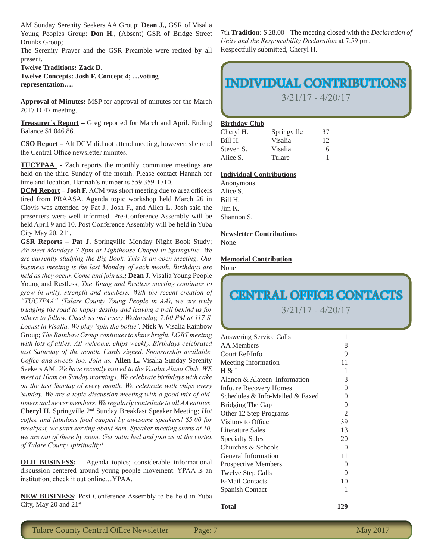AM Sunday Serenity Seekers AA Group; **Dean J.,** GSR of Visalia Young Peoples Group; **Don H**., (Absent) GSR of Bridge Street Drunks Group;

The Serenity Prayer and the GSR Preamble were recited by all present.

**Twelve Traditions: Zack D. Twelve Concepts: Josh F. Concept 4; …voting representation….**

**Approval of Minutes:** MSP for approval of minutes for the March 2017 D-47 meeting.

**Treasurer's Report –** Greg reported for March and April. Ending Balance \$1,046.86.

**CSO Report –** Alt DCM did not attend meeting, however, she read the Central Office newsletter minutes.

**TUCYPAA** - Zach reports the monthly committee meetings are held on the third Sunday of the month. Please contact Hannah for time and location. Hannah's number is 559 359-1710.

**DCM Report** – **Josh F.** ACM was short meeting due to area officers tired from PRAASA. Agenda topic workshop held March 26 in Clovis was attended by Pat J., Josh F., and Allen L. Josh said the presenters were well informed. Pre-Conference Assembly will be held April 9 and 10. Post Conference Assembly will be held in Yuba City May 20, 21<sup>st</sup>.

**GSR Reports – Pat J.** Springville Monday Night Book Study; *We meet Mondays 7-8pm at Lighthouse Chapel in Springville. We are currently studying the Big Book. This is an open meeting. Our business meeting is the last Monday of each month. Birthdays are held as they occur. Come and join us.;* **Dean J**. Visalia Young People Young and Restless; *The Young and Restless meeting continues to grow in unity, strength and numbers. With the recent creation of "TUCYPAA" (Tulare County Young People in AA), we are truly trudging the road to happy destiny and leaving a trail behind us for others to follow. Check us out every Wednesday, 7:00 PM at 117 S. Locust in Visalia. We play 'spin the bottle'.* **Nick V.** Visalia Rainbow Group; *The Rainbow Group continues to shine bright. LGBT meeting with lots of allies. All welcome, chips weekly. Birthdays celebrated last Saturday of the month. Cards signed. Sponsorship available. Coffee and sweets too. Join us.* **Allen L.** Visalia Sunday Serenity Seekers AM; *We have recently moved to the Visalia Alano Club. WE meet at 10am on Sunday mornings. We celebrate birthdays with cake on the last Sunday of every month. We celebrate with chips every Sunday. We are a topic discussion meeting with a good mix of oldtimers and newer members. We regularly contribute to all AA entities.*  **Cheryl H.** Springville 2nd Sunday Breakfast Speaker Meeting; *Hot coffee and fabulous food capped by awesome speakers! \$5.00 for breakfast, we start serving about 8am. Speaker meeting starts at 10, we are out of there by noon. Get outta bed and join us at the vortex of Tulare County spirituality!*

**OLD BUSINESS:** Agenda topics; considerable informational discussion centered around young people movement. YPAA is an institution, check it out online…YPAA.

**NEW BUSINESS**: Post Conference Assembly to be held in Yuba City, May 20 and 21st

7th **Tradition:** \$ 28.00 The meeting closed with the *Declaration of Unity and the Responsibility Declaration* at 7:59 pm. Respectfully submitted, Cheryl H.

## INDIVIDUAL CONTRIBUTIONS

3/21/17 - 4/20/17

#### **Birthday Club**

| Cheryl H. | Springville | 37 |
|-----------|-------------|----|
| Bill H.   | Visalia     | 12 |
| Steven S. | Visalia     | 6  |
| Alice S.  | Tulare      |    |

#### **Individual Contributions**

| Anonymous  |  |
|------------|--|
| Alice S.   |  |
| Bill H.    |  |
| Jim K.     |  |
| Shannon S. |  |

**Newsletter Contributions**

None

#### **Memorial Contribution**

None

# CENTRAL OFFICE CONTACTS

3/21/17 - 4/20/17

Answering Service Calls 1 AA Members 8 Court Ref/Info 9 Meeting Information 11  $H & I$  1 Alanon & Alateen Information 3 Info. re Recovery Homes 0 Schedules & Info-Mailed & Faxed 0 Bridging The Gap 0 Other 12 Step Programs 2 Visitors to Office 39 Literature Sales 13 Specialty Sales 20 Churches & Schools 0 General Information 11 Prospective Members 0 Twelve Step Calls 0 E-Mail Contacts 10 Spanish Contact 1 \_\_\_\_\_\_\_\_\_\_\_\_\_\_\_\_\_\_\_\_\_\_\_\_\_\_\_\_\_\_\_\_\_\_\_\_\_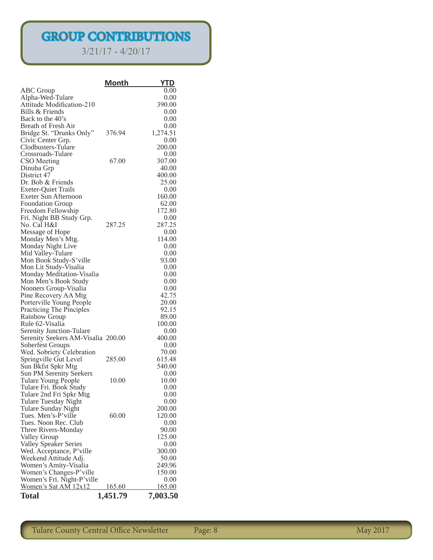# GROUP CONTRIBUTIONS

3/21/17 - 4/20/17

|                                                   | <u>Month</u>  | YTD           |
|---------------------------------------------------|---------------|---------------|
| <b>ABC</b> Group                                  |               | 0.00          |
| Alpha-Wed-Tulare                                  |               | 0.00          |
| Attitude Modification-210                         |               | 390.00        |
| Bills & Friends                                   |               | 0.00          |
| Back to the 40's                                  |               | 0.00          |
| <b>Breath of Fresh Air</b>                        |               | 0.00          |
| Bridge St. "Drunks Only"                          | 376.94        | 1,274.51      |
| Civic Center Grp.                                 |               | 0.00          |
| Clodbusters-Tulare                                |               | 200.00        |
| Crossroads-Tulare                                 |               | 0.00          |
| CSO Meeting                                       | 67.00         | 307.00        |
| Dinuba Grp                                        |               | 40.00         |
| District 47                                       |               | 400.00        |
| Dr. Bob & Friends                                 |               | 25.00         |
| <b>Exeter-Quiet Trails</b>                        |               | 0.00          |
| Exeter Sun Afternoon                              |               | 160.00        |
| <b>Foundation Group</b>                           |               | 62.00         |
| Freedom Fellowship                                |               | 172.80        |
| Fri. Night BB Study Grp.                          |               | 0.00          |
| No. Cal H&I                                       | 287.25        | 287.25        |
| Message of Hope                                   |               | 0.00          |
| Monday Men's Mtg.                                 |               | 114.00        |
| Monday Night Live                                 |               | 0.00          |
| Mid Valley-Tulare                                 |               | 0.00          |
| Mon Book Study-S'ville                            |               | 93.00         |
| Mon Lit Study-Visalia                             |               | 0.00<br>0.00  |
| Monday Meditation-Visalia<br>Mon Men's Book Study |               | 0.00          |
| Nooners Group-Visalia                             |               | 0.00          |
| Pine Recovery AA Mtg                              |               | 42.75         |
| Porterville Young People                          |               | 20.00         |
| Practicing The Pinciples                          |               | 92.15         |
| <b>Rainbow Group</b>                              |               | 89.00         |
| Rule 62-Visalia                                   |               | 100.00        |
| <b>Serenity Junction-Tulare</b>                   |               | 0.00          |
| Serenity Seekers AM-Visalia 200.00                |               | 400.00        |
| Soberfest Groups                                  |               | 0.00          |
| Wed. Sobriety Celebration                         |               | 70.00         |
| Springville Gut Level                             | 285.00        | 615.48        |
| Sun Bkfst Spkr Mtg                                |               | 540.00        |
| <b>Sun PM Serenity Seekers</b>                    |               | 0.00          |
| Tulare Young People                               | 10.00         | 10.00         |
| Tulare Fri. Book Study                            |               | 0.00          |
| Tulare 2nd Fri Spkr Mtg                           |               | 0.00          |
| Tulare Tuesday Night                              |               | 0.00          |
| Tulare Sunday Night                               |               | 200.00        |
| Tues. Men's-P'ville                               | 60.00         | 120.00        |
| Tues. Noon Rec. Club                              |               | 0.00          |
| Three Rivers-Monday                               |               | 90.00         |
| Valley Group                                      |               | 125.00        |
| Valley Speaker Series                             |               | 0.00          |
| Wed. Acceptance, P'ville                          |               | 300.00        |
| Weekend Attitude Adj.                             |               | 50.00         |
| Women's Amity-Visalia                             |               | 249.96        |
| Women's Changes-P'ville                           |               | 150.00        |
| Women's Fri. Night-P'ville                        |               | 0.00          |
| Women's Sat AM 12x12                              | <u>165.60</u> | <u>165.00</u> |
| <b>Total</b>                                      | 1,451.79      | 7,003.50      |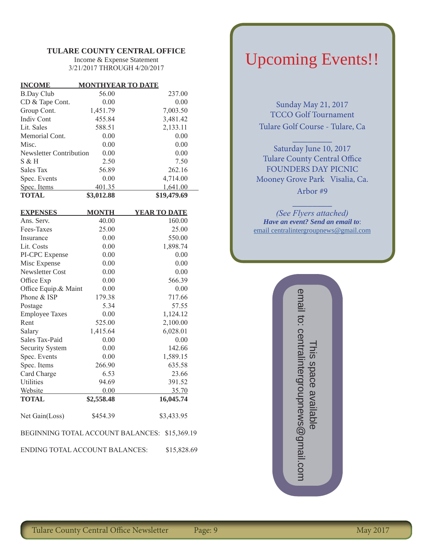#### **TULARE COUNTY CENTRAL OFFICE**

Income & Expense Statement 3/21/2017 THROUGH 4/20/2017

| <b>INCOME</b>           | <b>MONTHYEAR TO DATE</b> |             |
|-------------------------|--------------------------|-------------|
| <b>B.Day Club</b>       | 56.00                    | 237.00      |
| CD & Tape Cont.         | 0.00                     | 0.00        |
| Group Cont.             | 1,451.79                 | 7,003.50    |
| Indiv Cont              | 455.84                   | 3,481.42    |
| Lit. Sales              | 588.51                   | 2,133.11    |
| Memorial Cont.          | 0.00                     | 0.00        |
| Misc.                   | 0.00                     | 0.00        |
| Newsletter Contribution | 0.00                     | 0.00        |
| $S \& H$                | 2.50                     | 7.50        |
| Sales Tax               | 56.89                    | 262.16      |
| Spec. Events            | 0.00                     | 4,714.00    |
| Spec. Items             | 401.35                   | 1,641.00    |
| <b>TOTAL</b>            | \$3,012.88               | \$19,479.69 |

| <b>EXPENSES</b>                       | <b>MONTH</b> | <b>YEAR TO DATE</b> |
|---------------------------------------|--------------|---------------------|
| Ans. Serv.                            | 40.00        | 160.00              |
| Fees-Taxes                            | 25.00        | 25.00               |
| Insurance                             | 0.00         | 550.00              |
| Lit. Costs                            | 0.00         | 1,898.74            |
| PI-CPC Expense                        | 0.00         | 0.00                |
| Misc Expense                          | 0.00         | 0.00                |
| <b>Newsletter Cost</b>                | 0.00         | 0.00                |
| Office Exp                            | 0.00         | 566.39              |
| Office Equip.& Maint                  | 0.00         | 0.00                |
| Phone & ISP                           | 179.38       | 717.66              |
| Postage                               | 5.34         | 57.55               |
| <b>Employee Taxes</b>                 | 0.00         | 1,124.12            |
| Rent                                  | 525.00       | 2,100.00            |
| Salary                                | 1,415.64     | 6,028.01            |
| Sales Tax-Paid                        | 0.00         | 0.00                |
| Security System                       | 0.00         | 142.66              |
| Spec. Events                          | 0.00         | 1,589.15            |
| Spec. Items                           | 266.90       | 635.58              |
| Card Charge                           | 6.53         | 23.66               |
| <b>Utilities</b>                      | 94.69        | 391.52              |
| Website                               | 0.00         | 35.70               |
| <b>TOTAL</b>                          | \$2,558.48   | 16,045.74           |
| Net Gain(Loss)                        | \$454.39     | \$3,433.95          |
| BEGINNING TOTAL ACCOUNT BALANCES:     |              | \$15,369.19         |
| <b>ENDING TOTAL ACCOUNT BALANCES:</b> |              | \$15,828.69         |

# Upcoming Events!!

Sunday May 21, 2017 TCCO Golf Tournament Tulare Golf Course - Tulare, Ca

 $\frac{1}{2}$ 

Saturday June 10, 2017 Tulare County Central Office FOUNDERS DAY PICNIC Mooney Grove Park Visalia, Ca. Arbor #9

 $\frac{1}{2}$ *(See Flyers attached) Have an event? Send an email to*: email centralintergroupnews@gmail.com

> email to: centralintergroupnews@gmail.com This space available email to: centralintergroupnews@gmail.com Fhis space available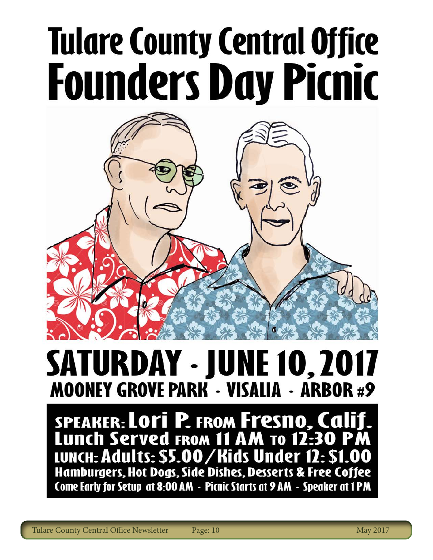# **Tulare County Central Office Founders Day Picnic**



# **SATURDAY - JUNE 10, 2017 MOONEY GROVE PARK - VISALIA - ARBOR #9**

SPEAKER: LOTI P. FROM Fresno, Calif.<br>Lunch Served From 11 AM To 12:30 PM LUNCH: Adults: \$5.00/Kids Under 12: \$1.00<br>Hamburgers, Hot Dogs, Side Dishes, Desserts & Free Coffee Come Early for Setup at 8:00 AM - Picnic Starts at 9 AM - Speaker at 1 PM